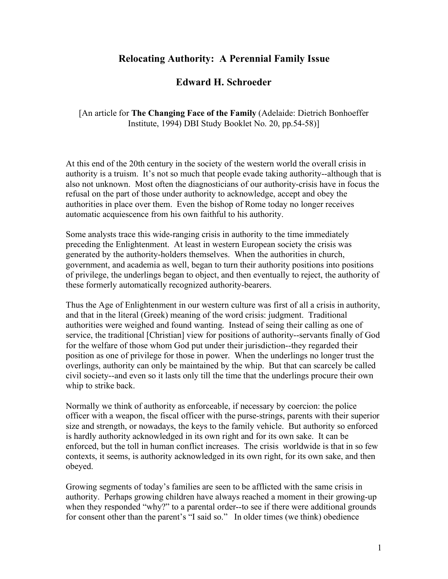## **Relocating Authority: A Perennial Family Issue**

## **Edward H. Schroeder**

[An article for **The Changing Face of the Family** (Adelaide: Dietrich Bonhoeffer Institute, 1994) DBI Study Booklet No. 20, pp.54-58)]

At this end of the 20th century in the society of the western world the overall crisis in authority is a truism. It's not so much that people evade taking authority--although that is also not unknown. Most often the diagnosticians of our authority-crisis have in focus the refusal on the part of those under authority to acknowledge, accept and obey the authorities in place over them. Even the bishop of Rome today no longer receives automatic acquiescence from his own faithful to his authority.

Some analysts trace this wide-ranging crisis in authority to the time immediately preceding the Enlightenment. At least in western European society the crisis was generated by the authority-holders themselves. When the authorities in church, government, and academia as well, began to turn their authority positions into positions of privilege, the underlings began to object, and then eventually to reject, the authority of these formerly automatically recognized authority-bearers.

Thus the Age of Enlightenment in our western culture was first of all a crisis in authority, and that in the literal (Greek) meaning of the word crisis: judgment. Traditional authorities were weighed and found wanting. Instead of seing their calling as one of service, the traditional [Christian] view for positions of authority--servants finally of God for the welfare of those whom God put under their jurisdiction--they regarded their position as one of privilege for those in power. When the underlings no longer trust the overlings, authority can only be maintained by the whip. But that can scarcely be called civil society--and even so it lasts only till the time that the underlings procure their own whip to strike back.

Normally we think of authority as enforceable, if necessary by coercion: the police officer with a weapon, the fiscal officer with the purse-strings, parents with their superior size and strength, or nowadays, the keys to the family vehicle. But authority so enforced is hardly authority acknowledged in its own right and for its own sake. It can be enforced, but the toll in human conflict increases. The crisis worldwide is that in so few contexts, it seems, is authority acknowledged in its own right, for its own sake, and then obeyed.

Growing segments of today's families are seen to be afflicted with the same crisis in authority. Perhaps growing children have always reached a moment in their growing-up when they responded "why?" to a parental order--to see if there were additional grounds for consent other than the parent's "I said so." In older times (we think) obedience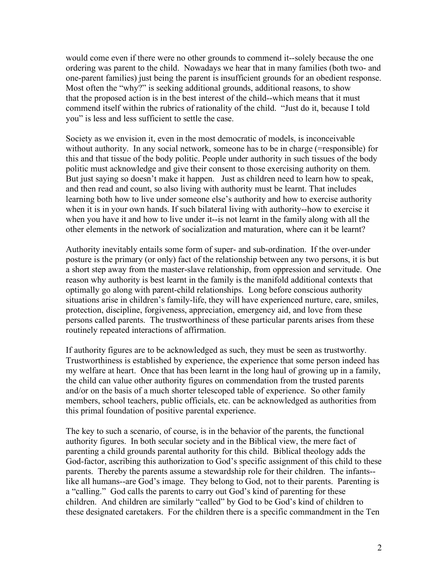would come even if there were no other grounds to commend it--solely because the one ordering was parent to the child. Nowadays we hear that in many families (both two- and one-parent families) just being the parent is insufficient grounds for an obedient response. Most often the "why?" is seeking additional grounds, additional reasons, to show that the proposed action is in the best interest of the child--which means that it must commend itself within the rubrics of rationality of the child. "Just do it, because I told you" is less and less sufficient to settle the case.

Society as we envision it, even in the most democratic of models, is inconceivable without authority. In any social network, someone has to be in charge (=responsible) for this and that tissue of the body politic. People under authority in such tissues of the body politic must acknowledge and give their consent to those exercising authority on them. But just saying so doesn't make it happen. Just as children need to learn how to speak, and then read and count, so also living with authority must be learnt. That includes learning both how to live under someone else's authority and how to exercise authority when it is in your own hands. If such bilateral living with authority--how to exercise it when you have it and how to live under it--is not learnt in the family along with all the other elements in the network of socialization and maturation, where can it be learnt?

Authority inevitably entails some form of super- and sub-ordination. If the over-under posture is the primary (or only) fact of the relationship between any two persons, it is but a short step away from the master-slave relationship, from oppression and servitude. One reason why authority is best learnt in the family is the manifold additional contexts that optimally go along with parent-child relationships. Long before conscious authority situations arise in children's family-life, they will have experienced nurture, care, smiles, protection, discipline, forgiveness, appreciation, emergency aid, and love from these persons called parents. The trustworthiness of these particular parents arises from these routinely repeated interactions of affirmation.

If authority figures are to be acknowledged as such, they must be seen as trustworthy. Trustworthiness is established by experience, the experience that some person indeed has my welfare at heart. Once that has been learnt in the long haul of growing up in a family, the child can value other authority figures on commendation from the trusted parents and/or on the basis of a much shorter telescoped table of experience. So other family members, school teachers, public officials, etc. can be acknowledged as authorities from this primal foundation of positive parental experience.

The key to such a scenario, of course, is in the behavior of the parents, the functional authority figures. In both secular society and in the Biblical view, the mere fact of parenting a child grounds parental authority for this child. Biblical theology adds the God-factor, ascribing this authorization to God's specific assignment of this child to these parents. Thereby the parents assume a stewardship role for their children. The infants- like all humans--are God's image. They belong to God, not to their parents. Parenting is a "calling." God calls the parents to carry out God's kind of parenting for these children. And children are similarly "called" by God to be God's kind of children to these designated caretakers. For the children there is a specific commandment in the Ten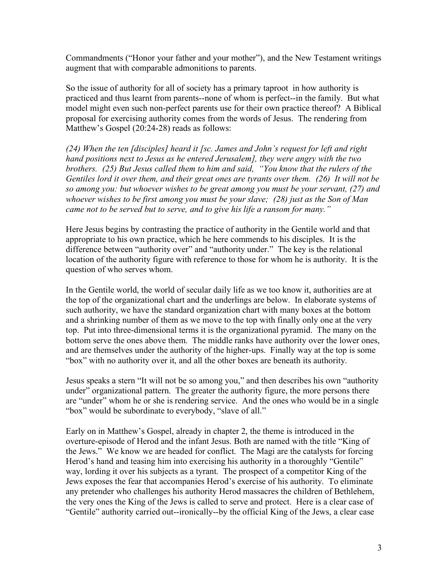Commandments ("Honor your father and your mother"), and the New Testament writings augment that with comparable admonitions to parents.

So the issue of authority for all of society has a primary taproot in how authority is practiced and thus learnt from parents--none of whom is perfect--in the family. But what model might even such non-perfect parents use for their own practice thereof? A Biblical proposal for exercising authority comes from the words of Jesus. The rendering from Matthew's Gospel (20:24-28) reads as follows:

*(24) When the ten [disciples] heard it [sc. James and John's request for left and right hand positions next to Jesus as he entered Jerusalem], they were angry with the two brothers. (25) But Jesus called them to him and said, "You know that the rulers of the Gentiles lord it over them, and their great ones are tyrants over them. (26) It will not be so among you: but whoever wishes to be great among you must be your servant, (27) and whoever wishes to be first among you must be your slave; (28) just as the Son of Man came not to be served but to serve, and to give his life a ransom for many."*

Here Jesus begins by contrasting the practice of authority in the Gentile world and that appropriate to his own practice, which he here commends to his disciples. It is the difference between "authority over" and "authority under." The key is the relational location of the authority figure with reference to those for whom he is authority. It is the question of who serves whom.

In the Gentile world, the world of secular daily life as we too know it, authorities are at the top of the organizational chart and the underlings are below. In elaborate systems of such authority, we have the standard organization chart with many boxes at the bottom and a shrinking number of them as we move to the top with finally only one at the very top. Put into three-dimensional terms it is the organizational pyramid. The many on the bottom serve the ones above them. The middle ranks have authority over the lower ones, and are themselves under the authority of the higher-ups. Finally way at the top is some "box" with no authority over it, and all the other boxes are beneath its authority.

Jesus speaks a stern "It will not be so among you," and then describes his own "authority under" organizational pattern. The greater the authority figure, the more persons there are "under" whom he or she is rendering service. And the ones who would be in a single "box" would be subordinate to everybody, "slave of all."

Early on in Matthew's Gospel, already in chapter 2, the theme is introduced in the overture-episode of Herod and the infant Jesus. Both are named with the title "King of the Jews." We know we are headed for conflict. The Magi are the catalysts for forcing Herod's hand and teasing him into exercising his authority in a thoroughly "Gentile" way, lording it over his subjects as a tyrant. The prospect of a competitor King of the Jews exposes the fear that accompanies Herod's exercise of his authority. To eliminate any pretender who challenges his authority Herod massacres the children of Bethlehem, the very ones the King of the Jews is called to serve and protect. Here is a clear case of "Gentile" authority carried out--ironically--by the official King of the Jews, a clear case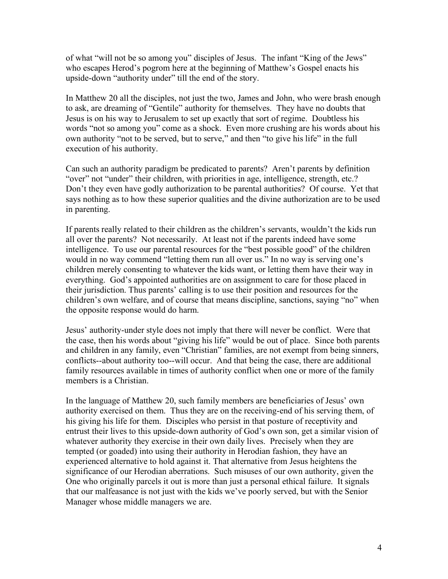of what "will not be so among you" disciples of Jesus. The infant "King of the Jews" who escapes Herod's pogrom here at the beginning of Matthew's Gospel enacts his upside-down "authority under" till the end of the story.

In Matthew 20 all the disciples, not just the two, James and John, who were brash enough to ask, are dreaming of "Gentile" authority for themselves. They have no doubts that Jesus is on his way to Jerusalem to set up exactly that sort of regime. Doubtless his words "not so among you" come as a shock. Even more crushing are his words about his own authority "not to be served, but to serve," and then "to give his life" in the full execution of his authority.

Can such an authority paradigm be predicated to parents? Aren't parents by definition "over" not "under" their children, with priorities in age, intelligence, strength, etc.? Don't they even have godly authorization to be parental authorities? Of course. Yet that says nothing as to how these superior qualities and the divine authorization are to be used in parenting.

If parents really related to their children as the children's servants, wouldn't the kids run all over the parents? Not necessarily. At least not if the parents indeed have some intelligence. To use our parental resources for the "best possible good" of the children would in no way commend "letting them run all over us." In no way is serving one's children merely consenting to whatever the kids want, or letting them have their way in everything. God's appointed authorities are on assignment to care for those placed in their jurisdiction. Thus parents' calling is to use their position and resources for the children's own welfare, and of course that means discipline, sanctions, saying "no" when the opposite response would do harm.

Jesus' authority-under style does not imply that there will never be conflict. Were that the case, then his words about "giving his life" would be out of place. Since both parents and children in any family, even "Christian" families, are not exempt from being sinners, conflicts--about authority too--will occur. And that being the case, there are additional family resources available in times of authority conflict when one or more of the family members is a Christian.

In the language of Matthew 20, such family members are beneficiaries of Jesus' own authority exercised on them. Thus they are on the receiving-end of his serving them, of his giving his life for them. Disciples who persist in that posture of receptivity and entrust their lives to this upside-down authority of God's own son, get a similar vision of whatever authority they exercise in their own daily lives. Precisely when they are tempted (or goaded) into using their authority in Herodian fashion, they have an experienced alternative to hold against it. That alternative from Jesus heightens the significance of our Herodian aberrations. Such misuses of our own authority, given the One who originally parcels it out is more than just a personal ethical failure. It signals that our malfeasance is not just with the kids we've poorly served, but with the Senior Manager whose middle managers we are.